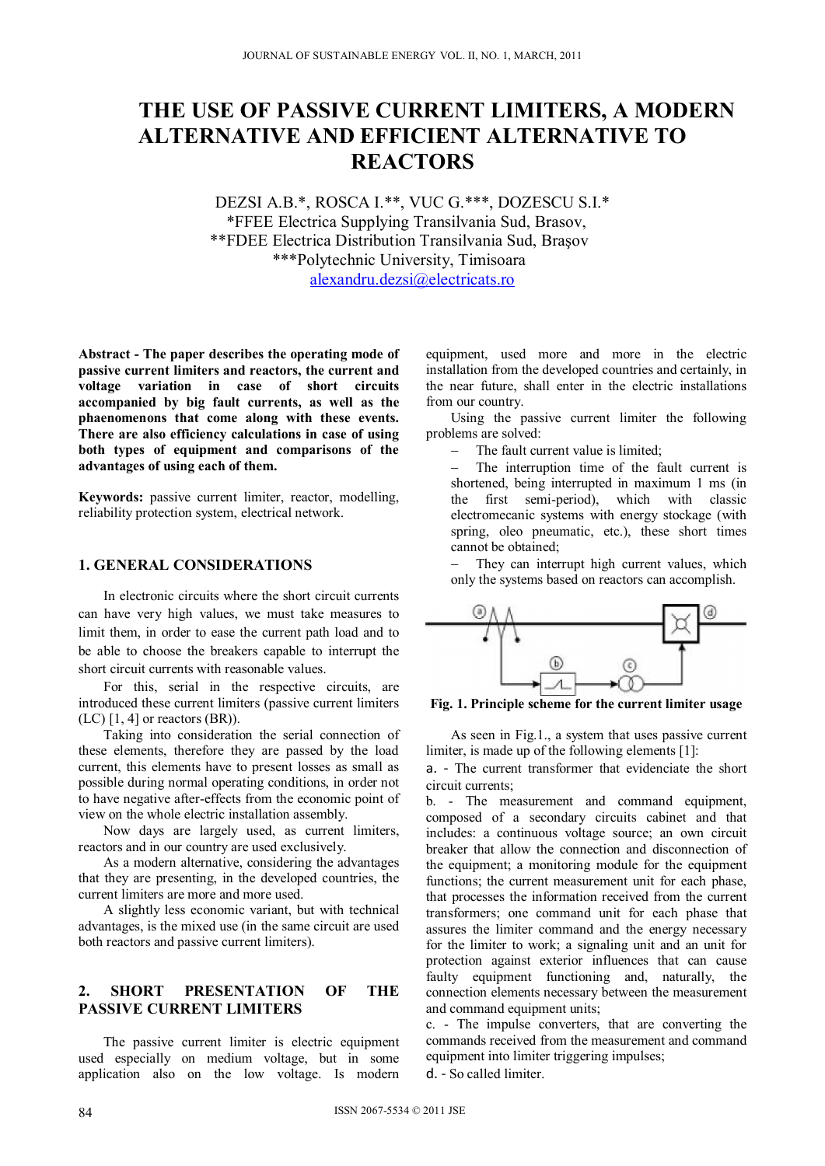# **THE USE OF PASSIVE CURRENT LIMITERS, A MODERN ALTERNATIVE AND EFFICIENT ALTERNATIVE TO REACTORS**

DEZSI A.B.\*, ROSCA I.\*\*, VUC G.\*\*\*, DOZESCU S.I.\* \*FFEE Electrica Supplying Transilvania Sud, Brasov, \*\*FDEE Electrica Distribution Transilvania Sud, Braşov \*\*\*Polytechnic University, Timisoara alexandru.dezsi@electricats.ro

**Abstract - The paper describes the operating mode of passive current limiters and reactors, the current and voltage variation in case of short circuits accompanied by big fault currents, as well as the phaenomenons that come along with these events. There are also efficiency calculations in case of using both types of equipment and comparisons of the advantages of using each of them.** 

**Keywords:** passive current limiter, reactor, modelling, reliability protection system, electrical network.

#### **1. GENERAL CONSIDERATIONS**

In electronic circuits where the short circuit currents can have very high values, we must take measures to limit them, in order to ease the current path load and to be able to choose the breakers capable to interrupt the short circuit currents with reasonable values.

For this, serial in the respective circuits, are introduced these current limiters (passive current limiters  $(LC)$  [1, 4] or reactors  $(BR)$ ).

Taking into consideration the serial connection of these elements, therefore they are passed by the load current, this elements have to present losses as small as possible during normal operating conditions, in order not to have negative after-effects from the economic point of view on the whole electric installation assembly.

Now days are largely used, as current limiters, reactors and in our country are used exclusively.

As a modern alternative, considering the advantages that they are presenting, in the developed countries, the current limiters are more and more used.

A slightly less economic variant, but with technical advantages, is the mixed use (in the same circuit are used both reactors and passive current limiters).

# **2. SHORT PRESENTATION OF THE PASSIVE CURRENT LIMITERS**

The passive current limiter is electric equipment used especially on medium voltage, but in some application also on the low voltage. Is modern equipment, used more and more in the electric installation from the developed countries and certainly, in the near future, shall enter in the electric installations from our country.

Using the passive current limiter the following problems are solved:

The fault current value is limited;

 The interruption time of the fault current is shortened, being interrupted in maximum 1 ms (in the first semi-period), which with classic electromecanic systems with energy stockage (with spring, oleo pneumatic, etc.), these short times cannot be obtained;

 They can interrupt high current values, which only the systems based on reactors can accomplish.



**Fig. 1. Principle scheme for the current limiter usage** 

As seen in Fig.1., a system that uses passive current limiter, is made up of the following elements [1]:

a. - The current transformer that evidenciate the short circuit currents;

b. - The measurement and command equipment, composed of a secondary circuits cabinet and that includes: a continuous voltage source; an own circuit breaker that allow the connection and disconnection of the equipment; a monitoring module for the equipment functions; the current measurement unit for each phase, that processes the information received from the current transformers; one command unit for each phase that assures the limiter command and the energy necessary for the limiter to work; a signaling unit and an unit for protection against exterior influences that can cause faulty equipment functioning and, naturally, the connection elements necessary between the measurement and command equipment units;

c. - The impulse converters, that are converting the commands received from the measurement and command equipment into limiter triggering impulses;

d. - So called limiter.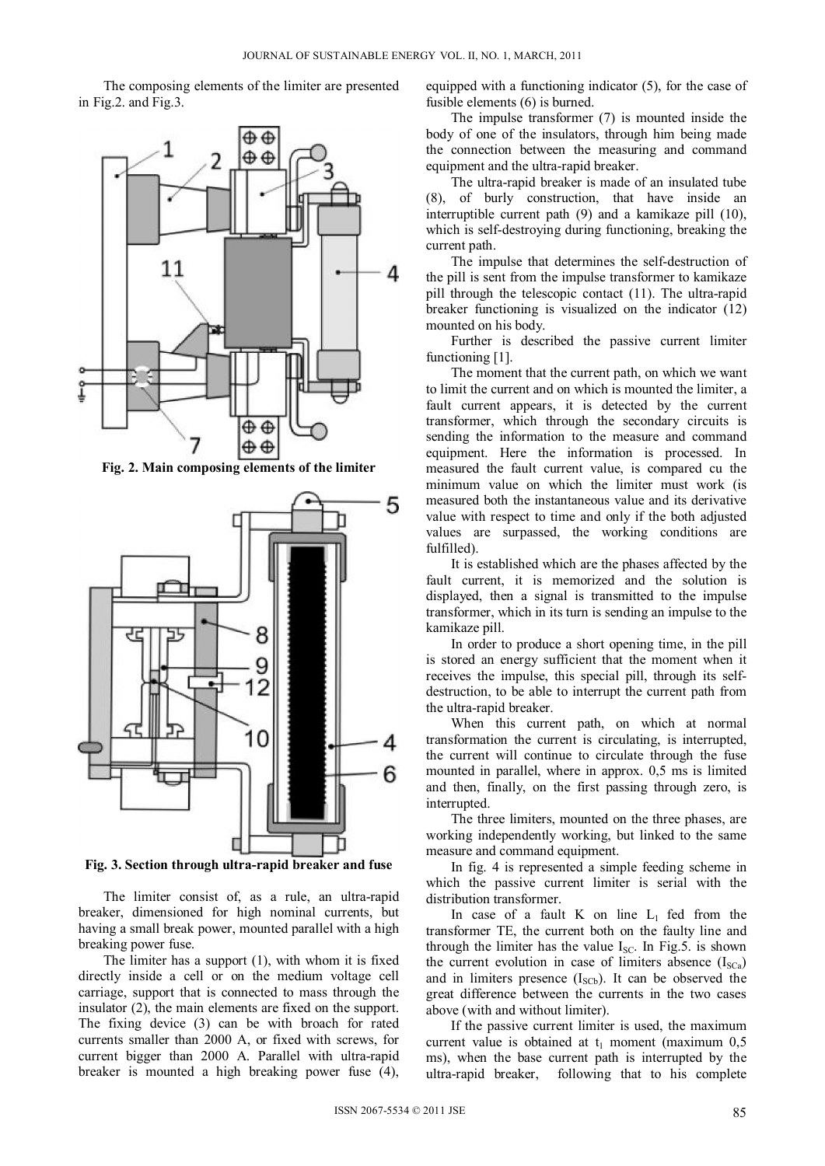The composing elements of the limiter are presented in Fig.2. and Fig.3.



**Fig. 2. Main composing elements of the limiter** 



**Fig. 3. Section through ultra-rapid breaker and fuse** 

The limiter consist of, as a rule, an ultra-rapid breaker, dimensioned for high nominal currents, but having a small break power, mounted parallel with a high breaking power fuse.

The limiter has a support (1), with whom it is fixed directly inside a cell or on the medium voltage cell carriage, support that is connected to mass through the insulator (2), the main elements are fixed on the support. The fixing device (3) can be with broach for rated currents smaller than 2000 A, or fixed with screws, for current bigger than 2000 A. Parallel with ultra-rapid breaker is mounted a high breaking power fuse (4),

equipped with a functioning indicator (5), for the case of fusible elements (6) is burned.

The impulse transformer (7) is mounted inside the body of one of the insulators, through him being made the connection between the measuring and command equipment and the ultra-rapid breaker.

The ultra-rapid breaker is made of an insulated tube (8), of burly construction, that have inside an interruptible current path (9) and a kamikaze pill (10), which is self-destroying during functioning, breaking the current path.

The impulse that determines the self-destruction of the pill is sent from the impulse transformer to kamikaze pill through the telescopic contact (11). The ultra-rapid breaker functioning is visualized on the indicator (12) mounted on his body.

Further is described the passive current limiter functioning [1].

The moment that the current path, on which we want to limit the current and on which is mounted the limiter, a fault current appears, it is detected by the current transformer, which through the secondary circuits is sending the information to the measure and command equipment. Here the information is processed. In measured the fault current value, is compared cu the minimum value on which the limiter must work (is measured both the instantaneous value and its derivative value with respect to time and only if the both adjusted values are surpassed, the working conditions are fulfilled).

It is established which are the phases affected by the fault current, it is memorized and the solution is displayed, then a signal is transmitted to the impulse transformer, which in its turn is sending an impulse to the kamikaze pill.

In order to produce a short opening time, in the pill is stored an energy sufficient that the moment when it receives the impulse, this special pill, through its selfdestruction, to be able to interrupt the current path from the ultra-rapid breaker.

When this current path, on which at normal transformation the current is circulating, is interrupted, the current will continue to circulate through the fuse mounted in parallel, where in approx. 0,5 ms is limited and then, finally, on the first passing through zero, is interrupted.

The three limiters, mounted on the three phases, are working independently working, but linked to the same measure and command equipment.

In fig. 4 is represented a simple feeding scheme in which the passive current limiter is serial with the distribution transformer.

In case of a fault K on line  $L_1$  fed from the transformer TE, the current both on the faulty line and through the limiter has the value  $I_{SC}$ . In Fig.5. is shown the current evolution in case of limiters absence  $(I_{SCa})$ and in limiters presence  $(I<sub>SCb</sub>)$ . It can be observed the great difference between the currents in the two cases above (with and without limiter).

If the passive current limiter is used, the maximum current value is obtained at  $t_1$  moment (maximum 0,5) ms), when the base current path is interrupted by the ultra-rapid breaker, following that to his complete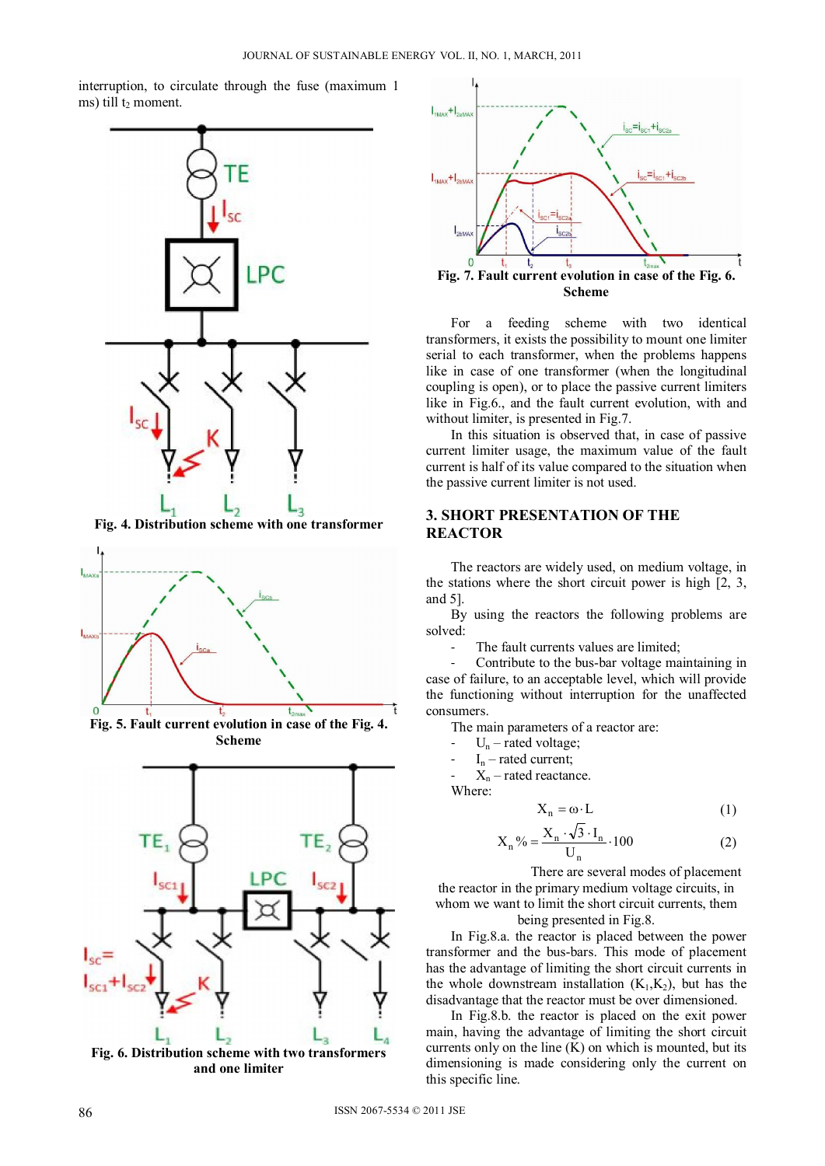interruption, to circulate through the fuse (maximum 1 ms) till  $t_2$  moment.



**Fig. 4. Distribution scheme with one transformer** 







**and one limiter**



For a feeding scheme with two identical transformers, it exists the possibility to mount one limiter serial to each transformer, when the problems happens like in case of one transformer (when the longitudinal coupling is open), or to place the passive current limiters like in Fig.6., and the fault current evolution, with and without limiter, is presented in Fig.7.

In this situation is observed that, in case of passive current limiter usage, the maximum value of the fault current is half of its value compared to the situation when the passive current limiter is not used.

# **3. SHORT PRESENTATION OF THE REACTOR**

The reactors are widely used, on medium voltage, in the stations where the short circuit power is high [2, 3, and 5].

By using the reactors the following problems are solved:

The fault currents values are limited;

Contribute to the bus-bar voltage maintaining in case of failure, to an acceptable level, which will provide the functioning without interruption for the unaffected consumers.

The main parameters of a reactor are:

- $U_n$  rated voltage;
- $I_n$  rated current;

 $X_n$  – rated reactance.

Where:

$$
X_n = \omega \cdot L \tag{1}
$$

$$
X_n\% = \frac{X_n \cdot \sqrt{3} \cdot I_n}{U_n} \cdot 100
$$
 (2)

There are several modes of placement

the reactor in the primary medium voltage circuits, in whom we want to limit the short circuit currents, them

being presented in Fig.8.

In Fig.8.a. the reactor is placed between the power transformer and the bus-bars. This mode of placement has the advantage of limiting the short circuit currents in the whole downstream installation  $(K_1, K_2)$ , but has the disadvantage that the reactor must be over dimensioned.

In Fig.8.b. the reactor is placed on the exit power main, having the advantage of limiting the short circuit currents only on the line  $(K)$  on which is mounted, but its dimensioning is made considering only the current on this specific line.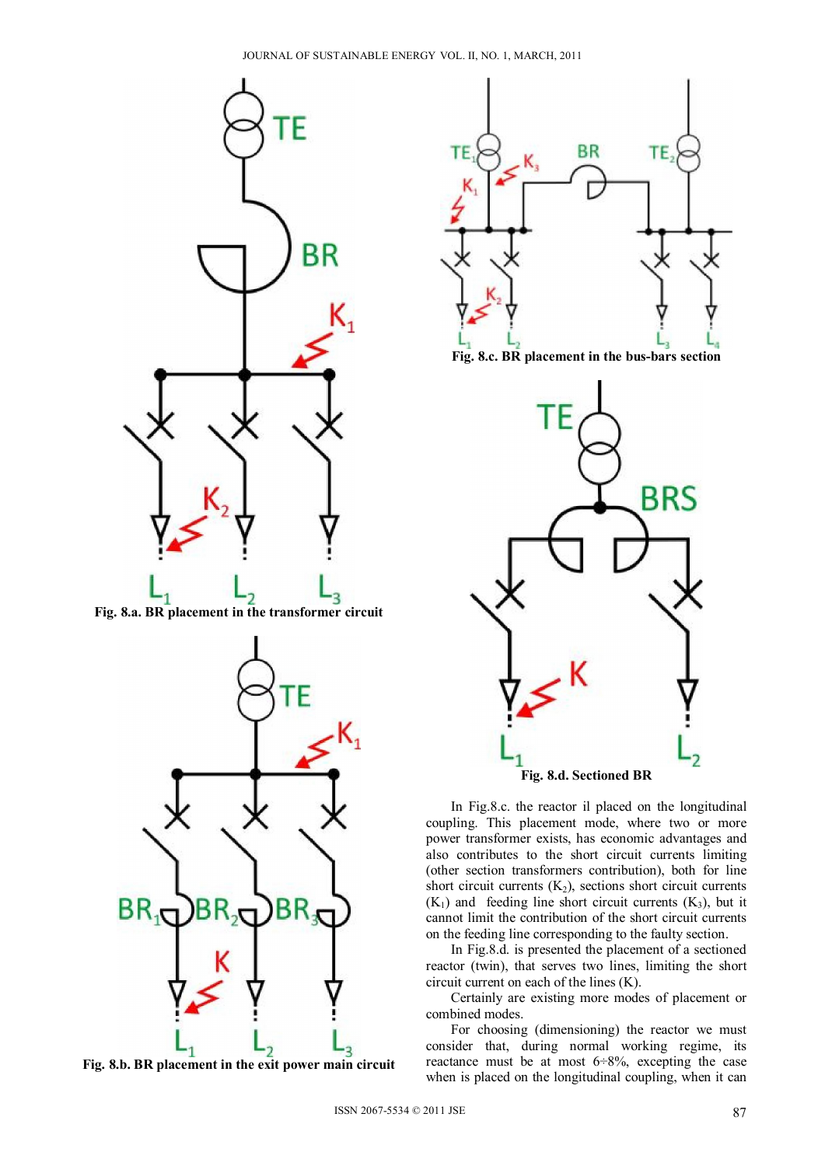

**Fig. 8.a. BR placement in the transformer circuit** 



**Fig. 8.b. BR placement in the exit power main circuit** 







**Fig. 8.d. Sectioned BR** 

In Fig.8.c. the reactor il placed on the longitudinal coupling. This placement mode, where two or more power transformer exists, has economic advantages and also contributes to the short circuit currents limiting (other section transformers contribution), both for line short circuit currents  $(K_2)$ , sections short circuit currents  $(K_1)$  and feeding line short circuit currents  $(K_3)$ , but it cannot limit the contribution of the short circuit currents on the feeding line corresponding to the faulty section.

In Fig.8.d. is presented the placement of a sectioned reactor (twin), that serves two lines, limiting the short circuit current on each of the lines (K).

Certainly are existing more modes of placement or combined modes.

For choosing (dimensioning) the reactor we must consider that, during normal working regime, its reactance must be at most  $6\div 8\%$ , excepting the case when is placed on the longitudinal coupling, when it can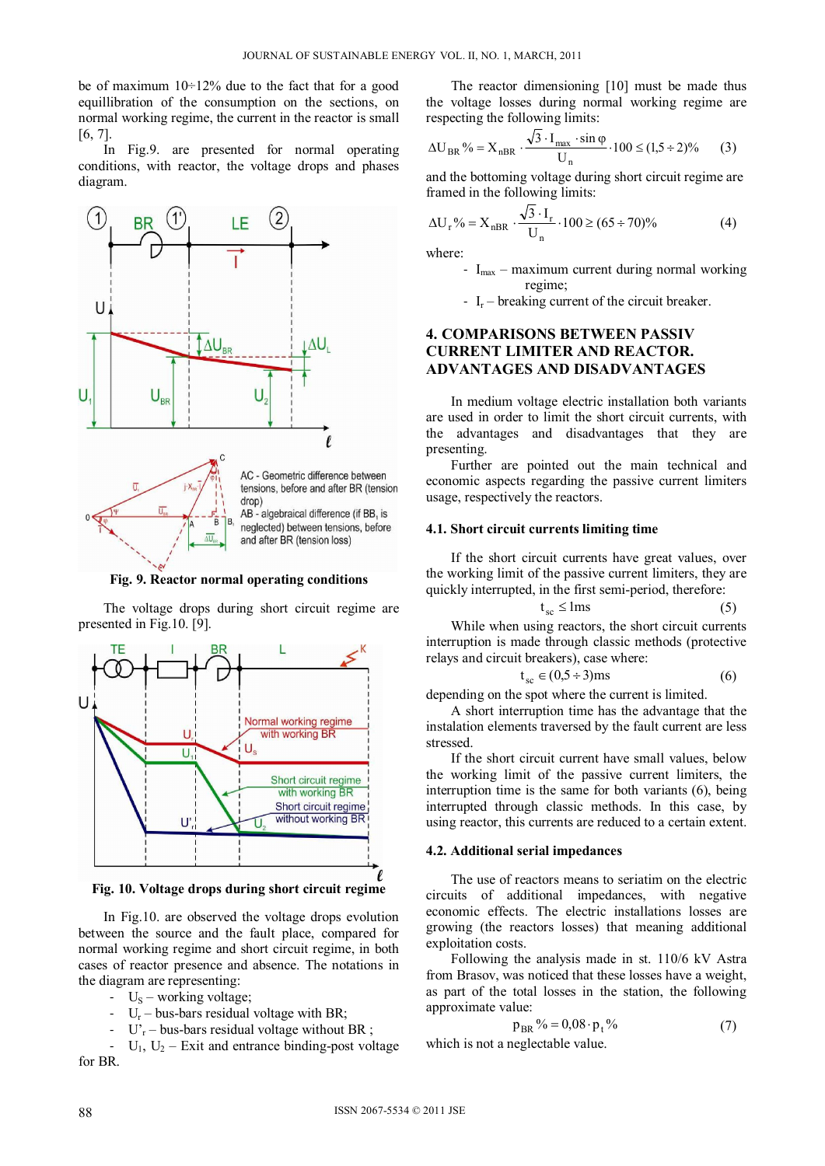be of maximum 10÷12% due to the fact that for a good equillibration of the consumption on the sections, on normal working regime, the current in the reactor is small [6, 7].

In Fig.9. are presented for normal operating conditions, with reactor, the voltage drops and phases diagram.



**Fig. 9. Reactor normal operating conditions** 

The voltage drops during short circuit regime are presented in Fig.10. [9].



**Fig. 10. Voltage drops during short circuit regime** 

In Fig.10. are observed the voltage drops evolution between the source and the fault place, compared for normal working regime and short circuit regime, in both cases of reactor presence and absence. The notations in the diagram are representing:

- $U_s$  working voltage;
- $U_r$  bus-bars residual voltage with BR;
- $U_r$  bus-bars residual voltage without BR ;

 $U_1$ ,  $U_2$  – Exit and entrance binding-post voltage for BR.

The reactor dimensioning [10] must be made thus the voltage losses during normal working regime are respecting the following limits:

$$
\Delta U_{BR} \% = X_{nBR} \cdot \frac{\sqrt{3} \cdot I_{\text{max}} \cdot \sin \varphi}{U_n} \cdot 100 \le (1.5 \div 2) \% \tag{3}
$$

and the bottoming voltage during short circuit regime are framed in the following limits:

$$
\Delta U_r\% = X_{nBR} \cdot \frac{\sqrt{3} \cdot I_r}{U_n} \cdot 100 \ge (65 \div 70)\% \tag{4}
$$

where:

- $I_{\text{max}}$  maximum current during normal working regime;
	- $I_r$  breaking current of the circuit breaker.

# **4. COMPARISONS BETWEEN PASSIV CURRENT LIMITER AND REACTOR. ADVANTAGES AND DISADVANTAGES**

In medium voltage electric installation both variants are used in order to limit the short circuit currents, with the advantages and disadvantages that they are presenting.

Further are pointed out the main technical and economic aspects regarding the passive current limiters usage, respectively the reactors.

#### **4.1. Short circuit currents limiting time**

If the short circuit currents have great values, over the working limit of the passive current limiters, they are quickly interrupted, in the first semi-period, therefore:

$$
t_{\rm sc} \leq lms \tag{5}
$$

While when using reactors, the short circuit currents interruption is made through classic methods (protective relays and circuit breakers), case where:

$$
t_{sc} \in (0.5 \div 3)ms
$$
 (6)

depending on the spot where the current is limited.

A short interruption time has the advantage that the instalation elements traversed by the fault current are less stressed.

If the short circuit current have small values, below the working limit of the passive current limiters, the interruption time is the same for both variants (6), being interrupted through classic methods. In this case, by using reactor, this currents are reduced to a certain extent.

#### **4.2. Additional serial impedances**

The use of reactors means to seriatim on the electric circuits of additional impedances, with negative economic effects. The electric installations losses are growing (the reactors losses) that meaning additional exploitation costs.

Following the analysis made in st. 110/6 kV Astra from Brasov, was noticed that these losses have a weight, as part of the total losses in the station, the following approximate value:

$$
p_{BR} \gamma_0 = 0.08 \cdot p_t \gamma_0 \tag{7}
$$

which is not a neglectable value.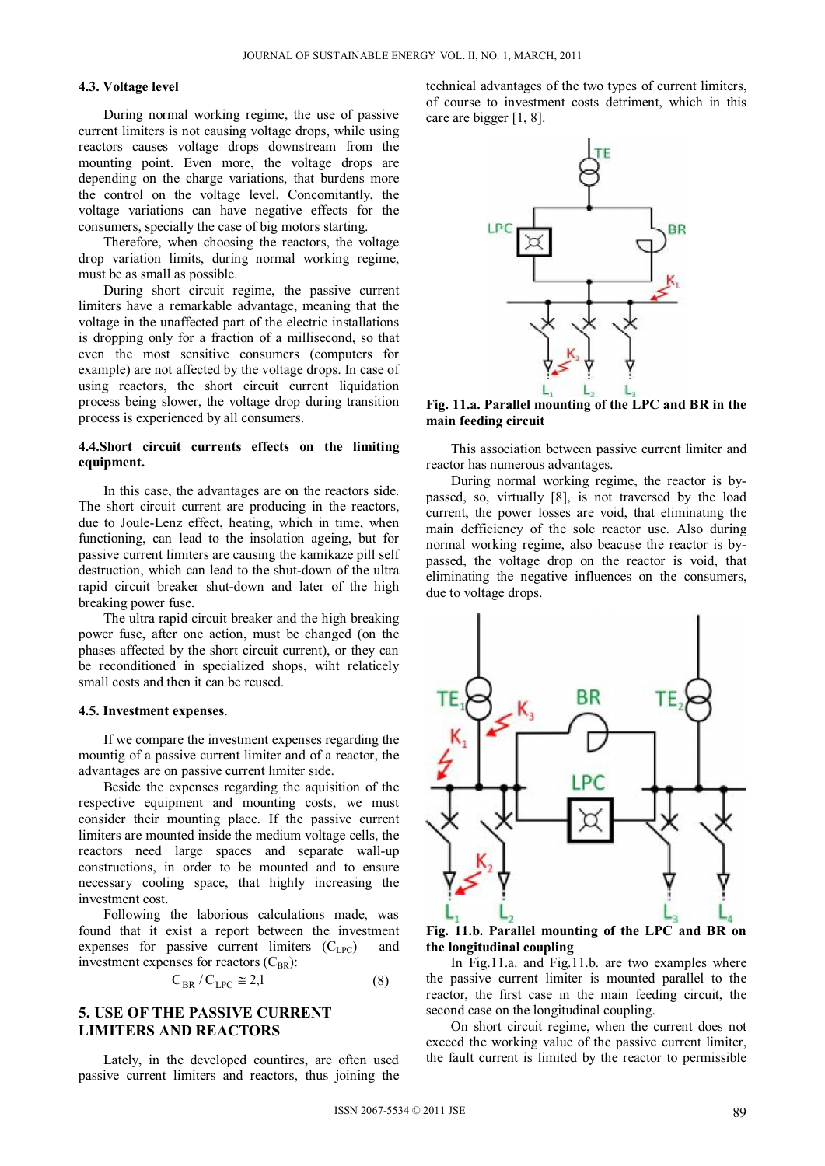## **4.3. Voltage level**

During normal working regime, the use of passive current limiters is not causing voltage drops, while using reactors causes voltage drops downstream from the mounting point. Even more, the voltage drops are depending on the charge variations, that burdens more the control on the voltage level. Concomitantly, the voltage variations can have negative effects for the consumers, specially the case of big motors starting.

Therefore, when choosing the reactors, the voltage drop variation limits, during normal working regime, must be as small as possible.

During short circuit regime, the passive current limiters have a remarkable advantage, meaning that the voltage in the unaffected part of the electric installations is dropping only for a fraction of a millisecond, so that even the most sensitive consumers (computers for example) are not affected by the voltage drops. In case of using reactors, the short circuit current liquidation process being slower, the voltage drop during transition process is experienced by all consumers.

## **4.4.Short circuit currents effects on the limiting equipment.**

In this case, the advantages are on the reactors side. The short circuit current are producing in the reactors, due to Joule-Lenz effect, heating, which in time, when functioning, can lead to the insolation ageing, but for passive current limiters are causing the kamikaze pill self destruction, which can lead to the shut-down of the ultra rapid circuit breaker shut-down and later of the high breaking power fuse.

The ultra rapid circuit breaker and the high breaking power fuse, after one action, must be changed (on the phases affected by the short circuit current), or they can be reconditioned in specialized shops, wiht relaticely small costs and then it can be reused.

#### **4.5. Investment expenses**.

If we compare the investment expenses regarding the mountig of a passive current limiter and of a reactor, the advantages are on passive current limiter side.

Beside the expenses regarding the aquisition of the respective equipment and mounting costs, we must consider their mounting place. If the passive current limiters are mounted inside the medium voltage cells, the reactors need large spaces and separate wall-up constructions, in order to be mounted and to ensure necessary cooling space, that highly increasing the investment cost.

Following the laborious calculations made, was found that it exist a report between the investment expenses for passive current limiters  $(C<sub>LPC</sub>)$  and investment expenses for reactors  $(C_{BR})$ :

$$
C_{BR}/C_{LPC} \cong 2,1
$$
 (8)

# **5. USE OF THE PASSIVE CURRENT LIMITERS AND REACTORS**

Lately, in the developed countires, are often used passive current limiters and reactors, thus joining the technical advantages of the two types of current limiters, of course to investment costs detriment, which in this care are bigger [1, 8].



**Fig. 11.a. Parallel mounting of the LPC and BR in the main feeding circuit** 

This association between passive current limiter and reactor has numerous advantages.

During normal working regime, the reactor is bypassed, so, virtually [8], is not traversed by the load current, the power losses are void, that eliminating the main defficiency of the sole reactor use. Also during normal working regime, also beacuse the reactor is bypassed, the voltage drop on the reactor is void, that eliminating the negative influences on the consumers, due to voltage drops.



**Fig. 11.b. Parallel mounting of the LPC and BR on the longitudinal coupling** 

In Fig.11.a. and Fig.11.b. are two examples where the passive current limiter is mounted parallel to the reactor, the first case in the main feeding circuit, the second case on the longitudinal coupling.

On short circuit regime, when the current does not exceed the working value of the passive current limiter, the fault current is limited by the reactor to permissible